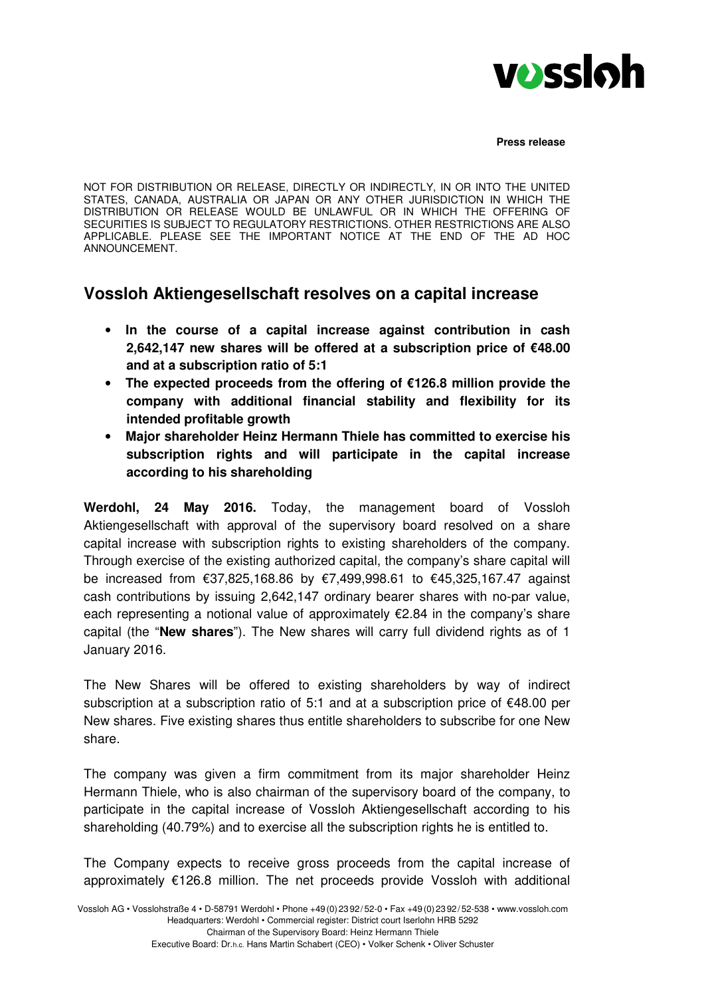

NOT FOR DISTRIBUTION OR RELEASE, DIRECTLY OR INDIRECTLY, IN OR INTO THE UNITED STATES, CANADA, AUSTRALIA OR JAPAN OR ANY OTHER JURISDICTION IN WHICH THE DISTRIBUTION OR RELEASE WOULD BE UNLAWFUL OR IN WHICH THE OFFERING OF SECURITIES IS SUBJECT TO REGULATORY RESTRICTIONS. OTHER RESTRICTIONS ARE ALSO APPLICABLE. PLEASE SEE THE IMPORTANT NOTICE AT THE END OF THE AD HOC ANNOUNCEMENT.

# **Vossloh Aktiengesellschaft resolves on a capital increase**

- **In the course of a capital increase against contribution in cash 2,642,147 new shares will be offered at a subscription price of €48.00 and at a subscription ratio of 5:1**
- **The expected proceeds from the offering of €126.8 million provide the company with additional financial stability and flexibility for its intended profitable growth**
- **Major shareholder Heinz Hermann Thiele has committed to exercise his subscription rights and will participate in the capital increase according to his shareholding**

**Werdohl, 24 May 2016.** Today, the management board of Vossloh Aktiengesellschaft with approval of the supervisory board resolved on a share capital increase with subscription rights to existing shareholders of the company. Through exercise of the existing authorized capital, the company's share capital will be increased from €37,825,168.86 by €7,499,998.61 to €45,325,167.47 against cash contributions by issuing 2,642,147 ordinary bearer shares with no-par value, each representing a notional value of approximately €2.84 in the company's share capital (the "**New shares**"). The New shares will carry full dividend rights as of 1 January 2016.

The New Shares will be offered to existing shareholders by way of indirect subscription at a subscription ratio of 5:1 and at a subscription price of €48.00 per New shares. Five existing shares thus entitle shareholders to subscribe for one New share.

The company was given a firm commitment from its major shareholder Heinz Hermann Thiele, who is also chairman of the supervisory board of the company, to participate in the capital increase of Vossloh Aktiengesellschaft according to his shareholding (40.79%) and to exercise all the subscription rights he is entitled to.

The Company expects to receive gross proceeds from the capital increase of approximately €126.8 million. The net proceeds provide Vossloh with additional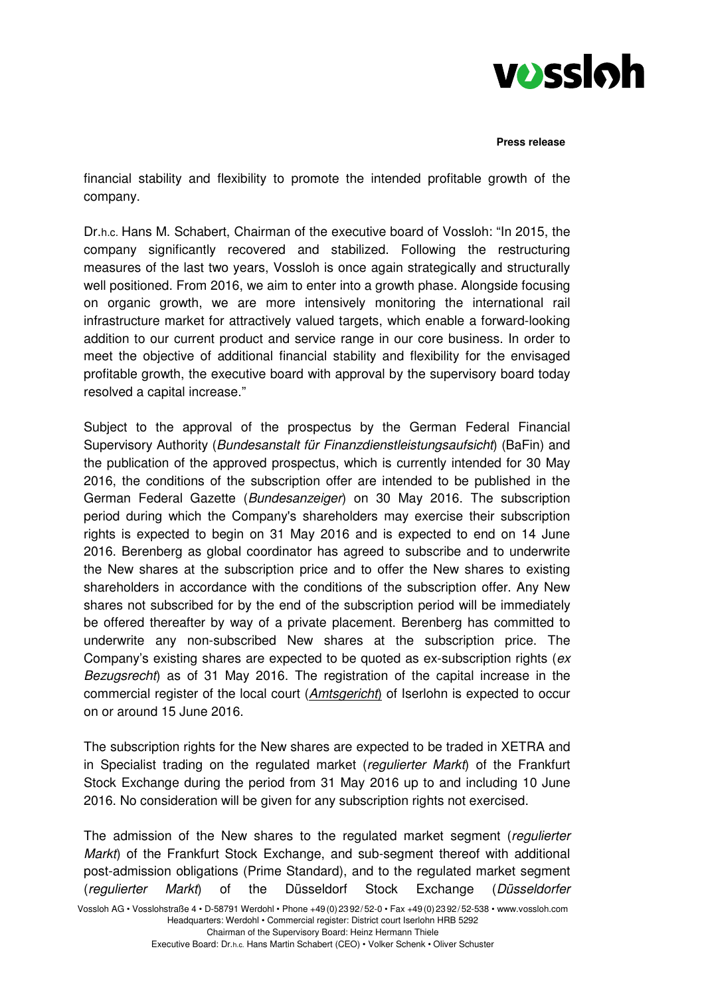

financial stability and flexibility to promote the intended profitable growth of the company.

Dr.h.c. Hans M. Schabert, Chairman of the executive board of Vossloh: "In 2015, the company significantly recovered and stabilized. Following the restructuring measures of the last two years, Vossloh is once again strategically and structurally well positioned. From 2016, we aim to enter into a growth phase. Alongside focusing on organic growth, we are more intensively monitoring the international rail infrastructure market for attractively valued targets, which enable a forward-looking addition to our current product and service range in our core business. In order to meet the objective of additional financial stability and flexibility for the envisaged profitable growth, the executive board with approval by the supervisory board today resolved a capital increase."

Subject to the approval of the prospectus by the German Federal Financial Supervisory Authority (Bundesanstalt für Finanzdienstleistungsaufsicht) (BaFin) and the publication of the approved prospectus, which is currently intended for 30 May 2016, the conditions of the subscription offer are intended to be published in the German Federal Gazette (Bundesanzeiger) on 30 May 2016. The subscription period during which the Company's shareholders may exercise their subscription rights is expected to begin on 31 May 2016 and is expected to end on 14 June 2016. Berenberg as global coordinator has agreed to subscribe and to underwrite the New shares at the subscription price and to offer the New shares to existing shareholders in accordance with the conditions of the subscription offer. Any New shares not subscribed for by the end of the subscription period will be immediately be offered thereafter by way of a private placement. Berenberg has committed to underwrite any non-subscribed New shares at the subscription price. The Company's existing shares are expected to be quoted as ex-subscription rights (ex Bezugsrecht) as of 31 May 2016. The registration of the capital increase in the commercial register of the local court (Amtsgericht) of Iserlohn is expected to occur on or around 15 June 2016.

The subscription rights for the New shares are expected to be traded in XETRA and in Specialist trading on the regulated market (regulierter Markt) of the Frankfurt Stock Exchange during the period from 31 May 2016 up to and including 10 June 2016. No consideration will be given for any subscription rights not exercised.

Vossloh AG • Vosslohstraße 4 • D-58791 Werdohl • Phone +49(0)2392/52-0 • Fax +49(0)2392/52-538 • www.vossloh.com Headquarters: Werdohl • Commercial register: District court Iserlohn HRB 5292 The admission of the New shares to the regulated market segment (regulierter Markt) of the Frankfurt Stock Exchange, and sub-segment thereof with additional post-admission obligations (Prime Standard), and to the regulated market segment (regulierter Markt) of the Düsseldorf Stock Exchange (Düsseldorfer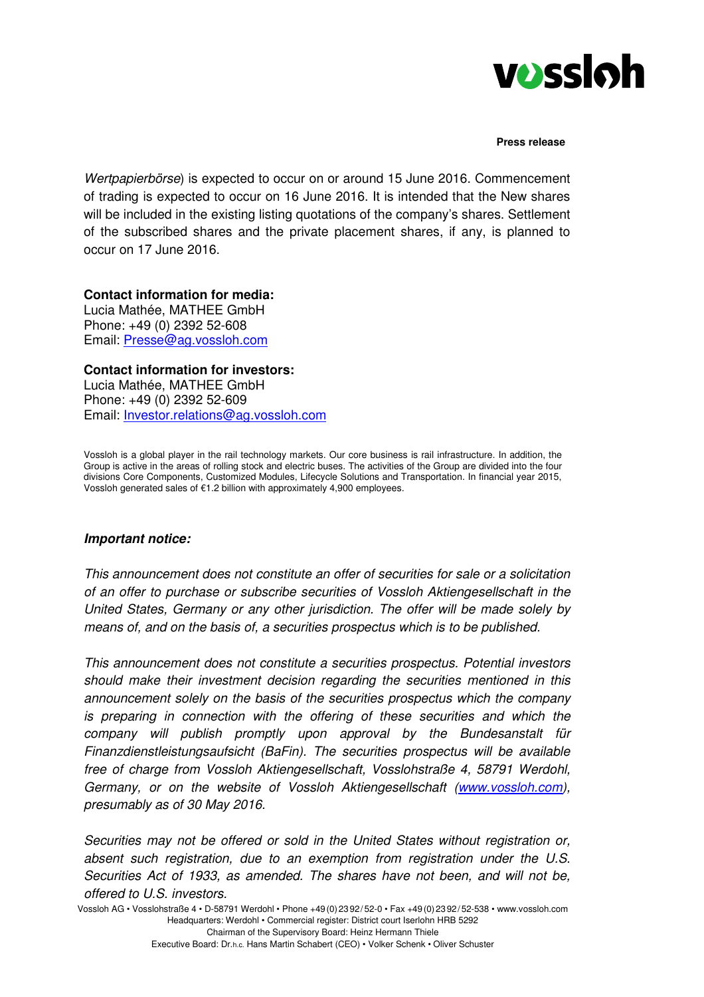

Wertpapierbörse) is expected to occur on or around 15 June 2016. Commencement of trading is expected to occur on 16 June 2016. It is intended that the New shares will be included in the existing listing quotations of the company's shares. Settlement of the subscribed shares and the private placement shares, if any, is planned to occur on 17 June 2016.

**Contact information for media:** Lucia Mathée, MATHEE GmbH Phone: +49 (0) 2392 52-608 Email: Presse@ag.vossloh.com

**Contact information for investors:**  Lucia Mathée, MATHEE GmbH Phone: +49 (0) 2392 52-609 Email: Investor.relations@ag.vossloh.com

Vossloh is a global player in the rail technology markets. Our core business is rail infrastructure. In addition, the Group is active in the areas of rolling stock and electric buses. The activities of the Group are divided into the four divisions Core Components, Customized Modules, Lifecycle Solutions and Transportation. In financial year 2015, Vossloh generated sales of €1.2 billion with approximately 4,900 employees.

## **Important notice:**

This announcement does not constitute an offer of securities for sale or a solicitation of an offer to purchase or subscribe securities of Vossloh Aktiengesellschaft in the United States, Germany or any other jurisdiction. The offer will be made solely by means of, and on the basis of, a securities prospectus which is to be published.

This announcement does not constitute a securities prospectus. Potential investors should make their investment decision regarding the securities mentioned in this announcement solely on the basis of the securities prospectus which the company is preparing in connection with the offering of these securities and which the company will publish promptly upon approval by the Bundesanstalt für Finanzdienstleistungsaufsicht (BaFin). The securities prospectus will be available free of charge from Vossloh Aktiengesellschaft, Vosslohstraße 4, 58791 Werdohl, Germany, or on the website of Vossloh Aktiengesellschaft (www.vossloh.com), presumably as of 30 May 2016.

Securities may not be offered or sold in the United States without registration or, absent such registration, due to an exemption from registration under the U.S. Securities Act of 1933, as amended. The shares have not been, and will not be, offered to U.S. investors.

Vossloh AG • Vosslohstraße 4 • D-58791 Werdohl • Phone +49(0)2392/52-0 • Fax +49(0)2392/52-538 • www.vossloh.com Headquarters: Werdohl • Commercial register: District court Iserlohn HRB 5292 Chairman of the Supervisory Board: Heinz Hermann Thiele

Executive Board: Dr.h.c. Hans Martin Schabert (CEO) • Volker Schenk • Oliver Schuster